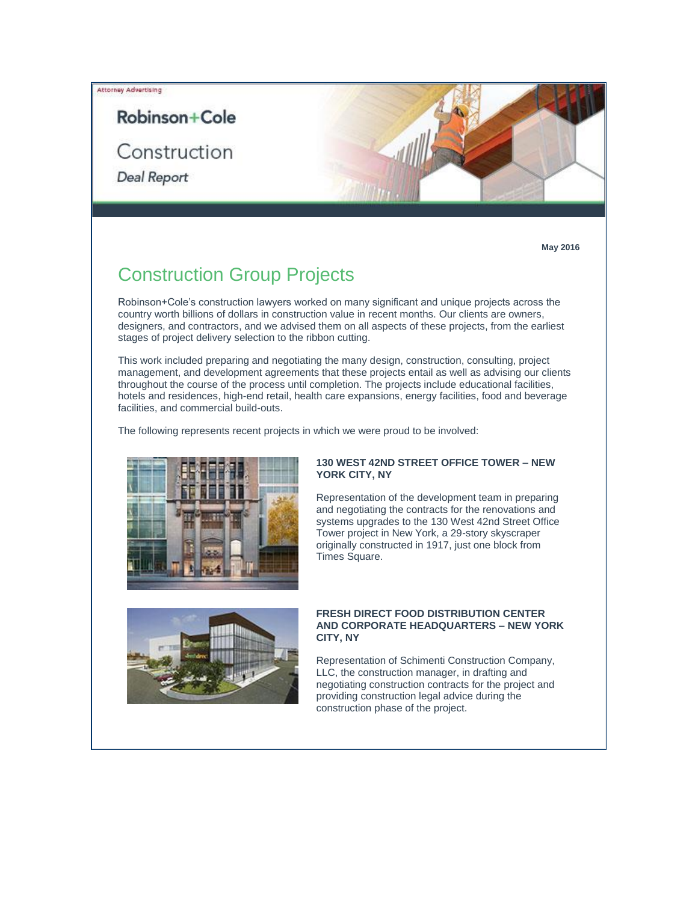### Attorney Advertising

# Robinson+Cole

Construction

**Deal Report** 



**May 2016**

# Construction Group Projects

Robinson+Cole's construction lawyers worked on many significant and unique projects across the country worth billions of dollars in construction value in recent months. Our clients are owners, designers, and contractors, and we advised them on all aspects of these projects, from the earliest stages of project delivery selection to the ribbon cutting.

This work included preparing and negotiating the many design, construction, consulting, project management, and development agreements that these projects entail as well as advising our clients throughout the course of the process until completion. The projects include educational facilities, hotels and residences, high-end retail, health care expansions, energy facilities, food and beverage facilities, and commercial build-outs.

The following represents recent projects in which we were proud to be involved:



### **130 WEST 42ND STREET OFFICE TOWER – NEW YORK CITY, NY**

Representation of the development team in preparing and negotiating the contracts for the renovations and systems upgrades to the 130 West 42nd Street Office Tower project in New York, a 29-story skyscraper originally constructed in 1917, just one block from Times Square.



### **FRESH DIRECT FOOD DISTRIBUTION CENTER AND CORPORATE HEADQUARTERS – NEW YORK CITY, NY**

Representation of Schimenti Construction Company, LLC, the construction manager, in drafting and negotiating construction contracts for the project and providing construction legal advice during the construction phase of the project.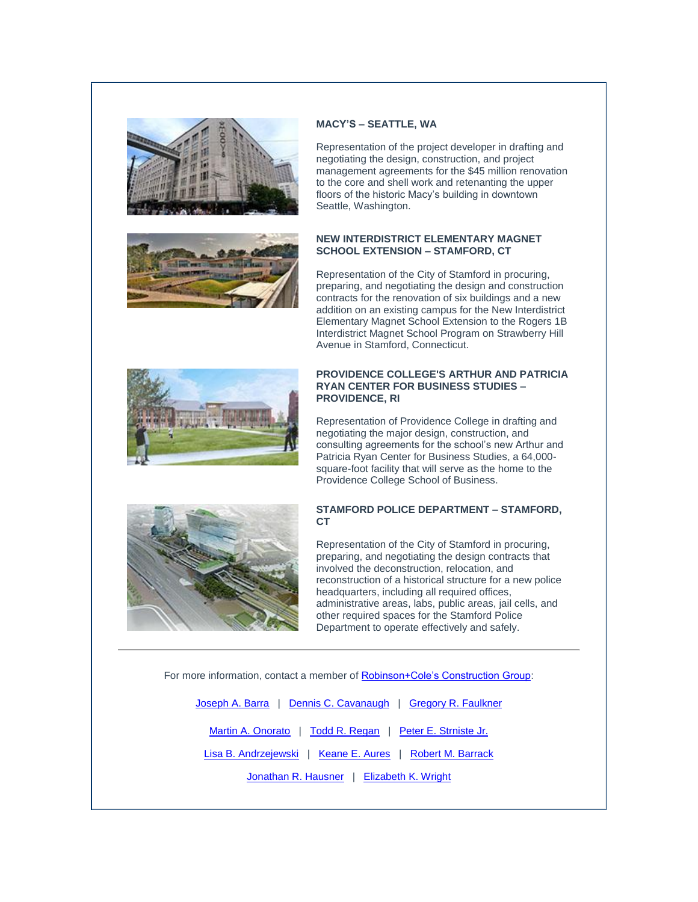



## **MACY'S – SEATTLE, WA**

Representation of the project developer in drafting and negotiating the design, construction, and project management agreements for the \$45 million renovation to the core and shell work and retenanting the upper floors of the historic Macy's building in downtown Seattle, Washington.

## **NEW INTERDISTRICT ELEMENTARY MAGNET SCHOOL EXTENSION – STAMFORD, CT**

Representation of the City of Stamford in procuring, preparing, and negotiating the design and construction contracts for the renovation of six buildings and a new addition on an existing campus for the New Interdistrict Elementary Magnet School Extension to the Rogers 1B Interdistrict Magnet School Program on Strawberry Hill Avenue in Stamford, Connecticut.



### **PROVIDENCE COLLEGE'S ARTHUR AND PATRICIA RYAN CENTER FOR BUSINESS STUDIES – PROVIDENCE, RI**

Representation of Providence College in drafting and negotiating the major design, construction, and consulting agreements for the school's new Arthur and Patricia Ryan Center for Business Studies, a 64,000 square-foot facility that will serve as the home to the Providence College School of Business.



### **STAMFORD POLICE DEPARTMENT – STAMFORD, CT**

Representation of the City of Stamford in procuring, preparing, and negotiating the design contracts that involved the deconstruction, relocation, and reconstruction of a historical structure for a new police headquarters, including all required offices, administrative areas, labs, public areas, jail cells, and other required spaces for the Stamford Police Department to operate effectively and safely.

For more information, contact a member of **Robinson+Cole's Construction Group**:

| Joseph A. Barra   Dennis C. Cavanaugh   Gregory R. Faulkner |
|-------------------------------------------------------------|
| Martin A. Onorato   Todd R. Regan   Peter E. Strniste Jr.   |
| Lisa B. Andrzejewski   Keane E. Aures   Robert M. Barrack   |
| Jonathan R. Hausner   Elizabeth K. Wright                   |